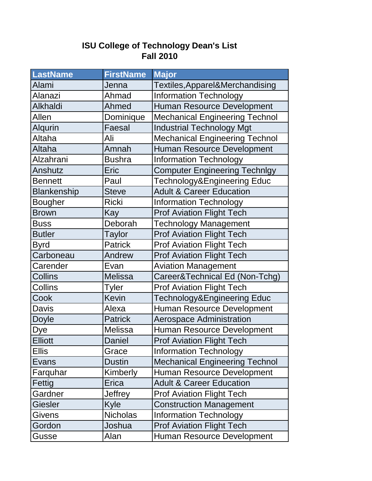## **ISU College of Technology Dean's List Fall 2010**

| <b>LastName</b> | <b>FirstName</b> | <b>Major</b>                          |
|-----------------|------------------|---------------------------------------|
| Alami           | Jenna            | Textiles, Apparel&Merchandising       |
| Alanazi         | Ahmad            | <b>Information Technology</b>         |
| Alkhaldi        | Ahmed            | Human Resource Development            |
| Allen           | Dominique        | <b>Mechanical Engineering Technol</b> |
| Alqurin         | Faesal           | <b>Industrial Technology Mgt</b>      |
| Altaha          | Ali              | <b>Mechanical Engineering Technol</b> |
| Altaha          | Amnah            | Human Resource Development            |
| Alzahrani       | <b>Bushra</b>    | <b>Information Technology</b>         |
| Anshutz         | Eric             | <b>Computer Engineering Technlgy</b>  |
| <b>Bennett</b>  | Paul             | Technology&Engineering Educ           |
| Blankenship     | <b>Steve</b>     | <b>Adult &amp; Career Education</b>   |
| <b>Bougher</b>  | <b>Ricki</b>     | <b>Information Technology</b>         |
| <b>Brown</b>    | Kay              | <b>Prof Aviation Flight Tech</b>      |
| <b>Buss</b>     | Deborah          | <b>Technology Management</b>          |
| <b>Butler</b>   | <b>Taylor</b>    | <b>Prof Aviation Flight Tech</b>      |
| <b>Byrd</b>     | <b>Patrick</b>   | <b>Prof Aviation Flight Tech</b>      |
| Carboneau       | Andrew           | <b>Prof Aviation Flight Tech</b>      |
| Carender        | Evan             | <b>Aviation Management</b>            |
| <b>Collins</b>  | <b>Melissa</b>   | Career&Technical Ed (Non-Tchg)        |
| Collins         | Tyler            | <b>Prof Aviation Flight Tech</b>      |
| Cook            | <b>Kevin</b>     | Technology&Engineering Educ           |
| <b>Davis</b>    | Alexa            | Human Resource Development            |
| <b>Doyle</b>    | <b>Patrick</b>   | <b>Aerospace Administration</b>       |
| <b>Dye</b>      | <b>Melissa</b>   | <b>Human Resource Development</b>     |
| <b>Elliott</b>  | Daniel           | <b>Prof Aviation Flight Tech</b>      |
| <b>Ellis</b>    | Grace            | <b>Information Technology</b>         |
| Evans           | <b>Dustin</b>    | <b>Mechanical Engineering Technol</b> |
| Farquhar        | Kimberly         | Human Resource Development            |
| Fettig          | Erica            | <b>Adult &amp; Career Education</b>   |
| Gardner         | Jeffrey          | <b>Prof Aviation Flight Tech</b>      |
| Giesler         | Kyle             | <b>Construction Management</b>        |
| <b>Givens</b>   | <b>Nicholas</b>  | <b>Information Technology</b>         |
| Gordon          | Joshua           | <b>Prof Aviation Flight Tech</b>      |
| Gusse           | Alan             | Human Resource Development            |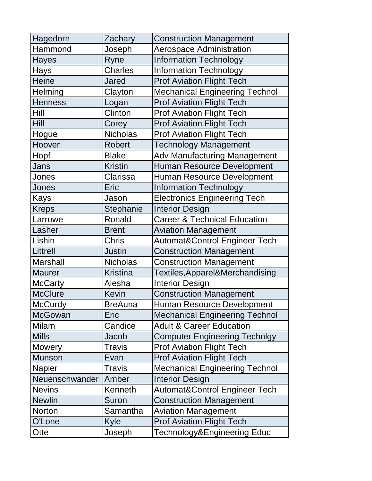| Hagedorn        | Zachary         | <b>Construction Management</b>           |
|-----------------|-----------------|------------------------------------------|
| Hammond         | Joseph          | <b>Aerospace Administration</b>          |
| Hayes           | Ryne            | <b>Information Technology</b>            |
| Hays            | <b>Charles</b>  | <b>Information Technology</b>            |
| <b>Heine</b>    | <b>Jared</b>    | <b>Prof Aviation Flight Tech</b>         |
| <b>Helming</b>  | Clayton         | <b>Mechanical Engineering Technol</b>    |
| <b>Henness</b>  | Logan           | <b>Prof Aviation Flight Tech</b>         |
| Hill            | Clinton         | <b>Prof Aviation Flight Tech</b>         |
| <b>Hill</b>     | Corey           | <b>Prof Aviation Flight Tech</b>         |
| Hogue           | <b>Nicholas</b> | <b>Prof Aviation Flight Tech</b>         |
| Hoover          | <b>Robert</b>   | <b>Technology Management</b>             |
| Hopf            | <b>Blake</b>    | Adv Manufacturing Management             |
| Jans            | <b>Kristin</b>  | <b>Human Resource Development</b>        |
| Jones           | Clarissa        | Human Resource Development               |
| Jones           | Eric            | <b>Information Technology</b>            |
| Kays            | Jason           | <b>Electronics Engineering Tech</b>      |
| Kreps           | Stephanie       | <b>Interior Design</b>                   |
| Larrowe         | Ronald          | <b>Career &amp; Technical Education</b>  |
| Lasher          | <b>Brent</b>    | <b>Aviation Management</b>               |
| Lishin          | <b>Chris</b>    | <b>Automat&amp;Control Engineer Tech</b> |
| Littrell        | <b>Justin</b>   | <b>Construction Management</b>           |
| <b>Marshall</b> | <b>Nicholas</b> | <b>Construction Management</b>           |
| <b>Maurer</b>   | <b>Kristina</b> | Textiles, Apparel&Merchandising          |
| <b>McCarty</b>  | Alesha          | <b>Interior Design</b>                   |
| <b>McClure</b>  | <b>Kevin</b>    | <b>Construction Management</b>           |
| <b>McCurdy</b>  | <b>BreAuna</b>  | Human Resource Development               |
| <b>McGowan</b>  | Eric            | <b>Mechanical Engineering Technol</b>    |
| Milam           | Candice         | <b>Adult &amp; Career Education</b>      |
| <b>Mills</b>    | Jacob           | <b>Computer Engineering Technlgy</b>     |
| <b>Mowery</b>   | <b>Travis</b>   | <b>Prof Aviation Flight Tech</b>         |
| <b>Munson</b>   | Evan            | <b>Prof Aviation Flight Tech</b>         |
| <b>Napier</b>   | <b>Travis</b>   | <b>Mechanical Engineering Technol</b>    |
| Neuenschwander  | Amber           | <b>Interior Design</b>                   |
| <b>Nevins</b>   | Kenneth         | <b>Automat&amp;Control Engineer Tech</b> |
| <b>Newlin</b>   | Suron           | <b>Construction Management</b>           |
| Norton          | Samantha        | <b>Aviation Management</b>               |
| O'Lone          | Kyle            | <b>Prof Aviation Flight Tech</b>         |
| Otte            | Joseph          | Technology&Engineering Educ              |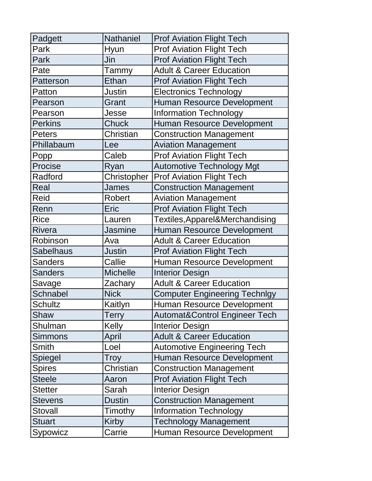| Padgett          | Nathaniel       | <b>Prof Aviation Flight Tech</b>         |
|------------------|-----------------|------------------------------------------|
| Park             | Hyun            | <b>Prof Aviation Flight Tech</b>         |
| Park             | Jin             | <b>Prof Aviation Flight Tech</b>         |
| Pate             | Tammy           | <b>Adult &amp; Career Education</b>      |
| Patterson        | Ethan           | <b>Prof Aviation Flight Tech</b>         |
| Patton           | Justin          | <b>Electronics Technology</b>            |
| Pearson          | Grant           | Human Resource Development               |
| Pearson          | Jesse           | <b>Information Technology</b>            |
| <b>Perkins</b>   | Chuck           | Human Resource Development               |
| <b>Peters</b>    | Christian       | <b>Construction Management</b>           |
| Phillabaum       | Lee             | <b>Aviation Management</b>               |
| Popp             | Caleb           | <b>Prof Aviation Flight Tech</b>         |
| Procise          | Ryan            | <b>Automotive Technology Mgt</b>         |
| Radford          | Christopher     | <b>Prof Aviation Flight Tech</b>         |
| Real             | <b>James</b>    | <b>Construction Management</b>           |
| Reid             | <b>Robert</b>   | <b>Aviation Management</b>               |
| Renn             | Eric            | <b>Prof Aviation Flight Tech</b>         |
| Rice             | Lauren          | Textiles, Apparel&Merchandising          |
| <b>Rivera</b>    | <b>Jasmine</b>  | Human Resource Development               |
| Robinson         | Ava             | <b>Adult &amp; Career Education</b>      |
| <b>Sabelhaus</b> | <b>Justin</b>   | <b>Prof Aviation Flight Tech</b>         |
| <b>Sanders</b>   | Callie          | Human Resource Development               |
| <b>Sanders</b>   | <b>Michelle</b> | <b>Interior Design</b>                   |
| Savage           | Zachary         | <b>Adult &amp; Career Education</b>      |
| <b>Schnabel</b>  | <b>Nick</b>     | <b>Computer Engineering Technlgy</b>     |
| <b>Schultz</b>   | Kaitlyn         | Human Resource Development               |
| Shaw             | <b>Terry</b>    | <b>Automat&amp;Control Engineer Tech</b> |
| Shulman          | Kelly           | <b>Interior Design</b>                   |
| Simmons          | April           | <b>Adult &amp; Career Education</b>      |
| Smith            | Loel            | <b>Automotive Engineering Tech</b>       |
| Spiegel          | Troy            | Human Resource Development               |
| <b>Spires</b>    | Christian       | <b>Construction Management</b>           |
| <b>Steele</b>    | Aaron           | <b>Prof Aviation Flight Tech</b>         |
| Stetter          | Sarah           | <b>Interior Design</b>                   |
| <b>Stevens</b>   | <b>Dustin</b>   | <b>Construction Management</b>           |
| Stovall          | Timothy         | <b>Information Technology</b>            |
| Stuart           | Kirby           | <b>Technology Management</b>             |
| Sypowicz         | Carrie          | Human Resource Development               |